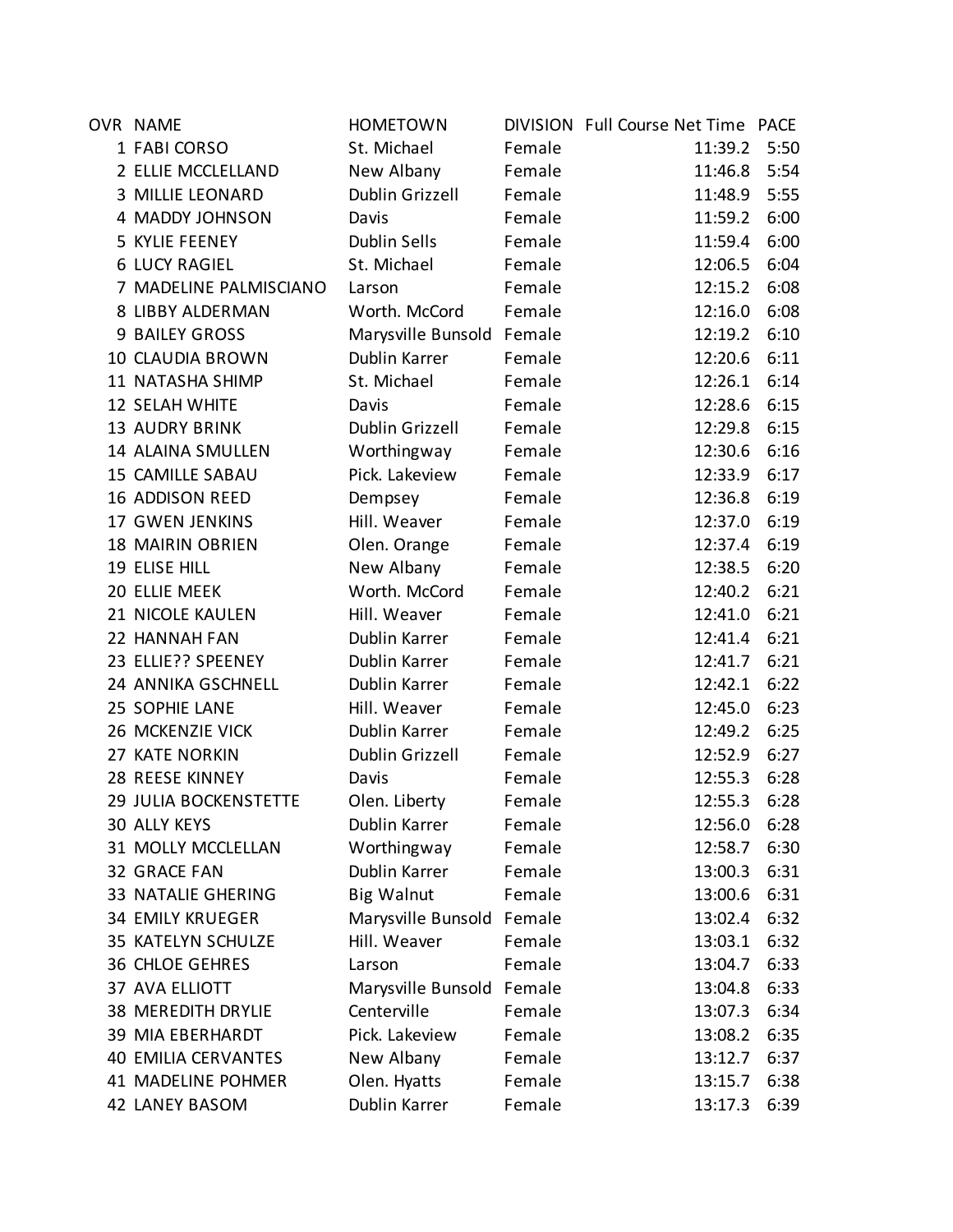| OVR NAME                   | <b>HOMETOWN</b>           |        | DIVISION Full Course Net Time PACE |      |
|----------------------------|---------------------------|--------|------------------------------------|------|
| 1 FABI CORSO               | St. Michael               | Female | 11:39.2                            | 5:50 |
| 2 ELLIE MCCLELLAND         | New Albany                | Female | 11:46.8                            | 5:54 |
| 3 MILLIE LEONARD           | Dublin Grizzell           | Female | 11:48.9                            | 5:55 |
| 4 MADDY JOHNSON            | Davis                     | Female | 11:59.2                            | 6:00 |
| 5 KYLIE FEENEY             | <b>Dublin Sells</b>       | Female | 11:59.4                            | 6:00 |
| <b>6 LUCY RAGIEL</b>       | St. Michael               | Female | 12:06.5                            | 6:04 |
| 7 MADELINE PALMISCIANO     | Larson                    | Female | 12:15.2                            | 6:08 |
| 8 LIBBY ALDERMAN           | Worth. McCord             | Female | 12:16.0                            | 6:08 |
| <b>9 BAILEY GROSS</b>      | Marysville Bunsold Female |        | 12:19.2                            | 6:10 |
| 10 CLAUDIA BROWN           | Dublin Karrer             | Female | 12:20.6                            | 6:11 |
| 11 NATASHA SHIMP           | St. Michael               | Female | 12:26.1                            | 6:14 |
| 12 SELAH WHITE             | Davis                     | Female | 12:28.6                            | 6:15 |
| <b>13 AUDRY BRINK</b>      | Dublin Grizzell           | Female | 12:29.8                            | 6:15 |
| 14 ALAINA SMULLEN          | Worthingway               | Female | 12:30.6                            | 6:16 |
| <b>15 CAMILLE SABAU</b>    | Pick. Lakeview            | Female | 12:33.9                            | 6:17 |
| 16 ADDISON REED            | Dempsey                   | Female | 12:36.8                            | 6:19 |
| <b>17 GWEN JENKINS</b>     | Hill. Weaver              | Female | 12:37.0                            | 6:19 |
| <b>18 MAIRIN OBRIEN</b>    | Olen. Orange              | Female | 12:37.4                            | 6:19 |
| 19 ELISE HILL              | New Albany                | Female | 12:38.5                            | 6:20 |
| 20 ELLIE MEEK              | Worth. McCord             | Female | 12:40.2                            | 6:21 |
| 21 NICOLE KAULEN           | Hill. Weaver              | Female | 12:41.0                            | 6:21 |
| 22 HANNAH FAN              | Dublin Karrer             | Female | 12:41.4                            | 6:21 |
| 23 ELLIE?? SPEENEY         | Dublin Karrer             | Female | 12:41.7                            | 6:21 |
| 24 ANNIKA GSCHNELL         | Dublin Karrer             | Female | 12:42.1                            | 6:22 |
| 25 SOPHIE LANE             | Hill. Weaver              | Female | 12:45.0                            | 6:23 |
| 26 MCKENZIE VICK           | Dublin Karrer             | Female | 12:49.2                            | 6:25 |
| 27 KATE NORKIN             | Dublin Grizzell           | Female | 12:52.9                            | 6:27 |
| 28 REESE KINNEY            | Davis                     | Female | 12:55.3                            | 6:28 |
| 29 JULIA BOCKENSTETTE      | Olen. Liberty             | Female | 12:55.3                            | 6:28 |
| <b>30 ALLY KEYS</b>        | Dublin Karrer             | Female | 12:56.0                            | 6:28 |
| 31 MOLLY MCCLELLAN         | Worthingway               | Female | 12:58.7                            | 6:30 |
| 32 GRACE FAN               | Dublin Karrer             | Female | 13:00.3                            | 6:31 |
| <b>33 NATALIE GHERING</b>  | <b>Big Walnut</b>         | Female | 13:00.6                            | 6:31 |
| <b>34 EMILY KRUEGER</b>    | Marysville Bunsold Female |        | 13:02.4                            | 6:32 |
| 35 KATELYN SCHULZE         | Hill. Weaver              | Female | 13:03.1                            | 6:32 |
| <b>36 CHLOE GEHRES</b>     | Larson                    | Female | 13:04.7                            | 6:33 |
| 37 AVA ELLIOTT             | Marysville Bunsold        | Female | 13:04.8                            | 6:33 |
| <b>38 MEREDITH DRYLIE</b>  | Centerville               | Female | 13:07.3                            | 6:34 |
| <b>39 MIA EBERHARDT</b>    | Pick. Lakeview            | Female | 13:08.2                            | 6:35 |
| <b>40 EMILIA CERVANTES</b> | New Albany                | Female | 13:12.7                            | 6:37 |
| 41 MADELINE POHMER         | Olen. Hyatts              | Female | 13:15.7                            | 6:38 |
| 42 LANEY BASOM             | Dublin Karrer             | Female | 13:17.3                            | 6:39 |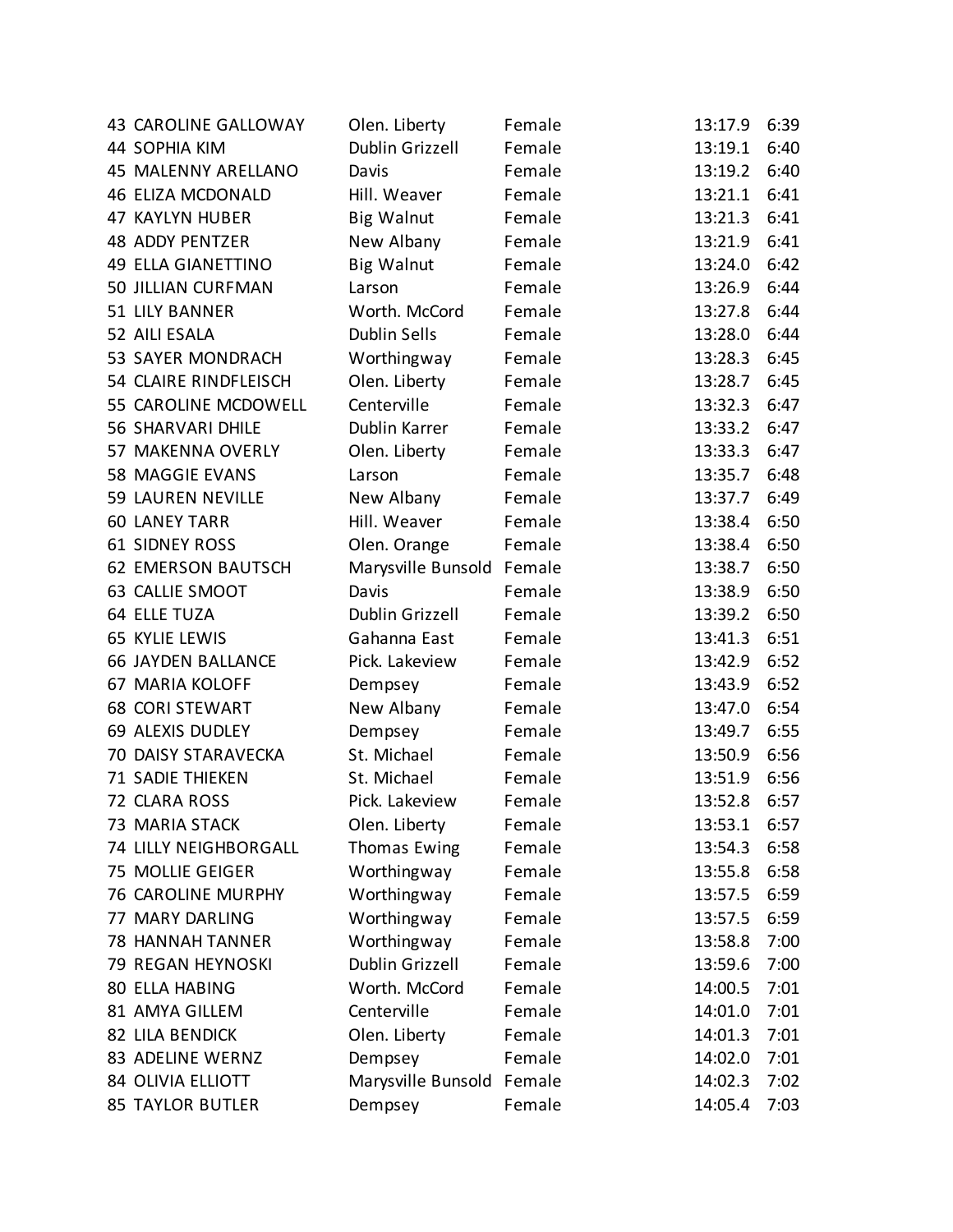| 43 CAROLINE GALLOWAY      | Olen. Liberty          | Female | 13:17.9 | 6:39 |
|---------------------------|------------------------|--------|---------|------|
| 44 SOPHIA KIM             | Dublin Grizzell        | Female | 13:19.1 | 6:40 |
| 45 MALENNY ARELLANO       | Davis                  | Female | 13:19.2 | 6:40 |
| <b>46 ELIZA MCDONALD</b>  | Hill. Weaver           | Female | 13:21.1 | 6:41 |
| 47 KAYLYN HUBER           | <b>Big Walnut</b>      | Female | 13:21.3 | 6:41 |
| <b>48 ADDY PENTZER</b>    | New Albany             | Female | 13:21.9 | 6:41 |
| <b>49 ELLA GIANETTINO</b> | <b>Big Walnut</b>      | Female | 13:24.0 | 6:42 |
| 50 JILLIAN CURFMAN        | Larson                 | Female | 13:26.9 | 6:44 |
| 51 LILY BANNER            | Worth. McCord          | Female | 13:27.8 | 6:44 |
| 52 AILI ESALA             | <b>Dublin Sells</b>    | Female | 13:28.0 | 6:44 |
| 53 SAYER MONDRACH         | Worthingway            | Female | 13:28.3 | 6:45 |
| 54 CLAIRE RINDFLEISCH     | Olen. Liberty          | Female | 13:28.7 | 6:45 |
| 55 CAROLINE MCDOWELL      | Centerville            | Female | 13:32.3 | 6:47 |
| <b>56 SHARVARI DHILE</b>  | Dublin Karrer          | Female | 13:33.2 | 6:47 |
| 57 MAKENNA OVERLY         | Olen. Liberty          | Female | 13:33.3 | 6:47 |
| 58 MAGGIE EVANS           | Larson                 | Female | 13:35.7 | 6:48 |
| 59 LAUREN NEVILLE         | New Albany             | Female | 13:37.7 | 6:49 |
| <b>60 LANEY TARR</b>      | Hill. Weaver           | Female | 13:38.4 | 6:50 |
| <b>61 SIDNEY ROSS</b>     | Olen. Orange           | Female | 13:38.4 | 6:50 |
| <b>62 EMERSON BAUTSCH</b> | Marysville Bunsold     | Female | 13:38.7 | 6:50 |
| 63 CALLIE SMOOT           | Davis                  | Female | 13:38.9 | 6:50 |
| 64 ELLE TUZA              | Dublin Grizzell        | Female | 13:39.2 | 6:50 |
| 65 KYLIE LEWIS            | Gahanna East           | Female | 13:41.3 | 6:51 |
| <b>66 JAYDEN BALLANCE</b> | Pick. Lakeview         | Female | 13:42.9 | 6:52 |
| 67 MARIA KOLOFF           | Dempsey                | Female | 13:43.9 | 6:52 |
| <b>68 CORI STEWART</b>    | New Albany             | Female | 13:47.0 | 6:54 |
| <b>69 ALEXIS DUDLEY</b>   | Dempsey                | Female | 13:49.7 | 6:55 |
| 70 DAISY STARAVECKA       | St. Michael            | Female | 13:50.9 | 6:56 |
| <b>71 SADIE THIEKEN</b>   | St. Michael            | Female | 13:51.9 | 6:56 |
| 72 CLARA ROSS             | Pick. Lakeview         | Female | 13:52.8 | 6:57 |
| <b>73 MARIA STACK</b>     | Olen. Liberty          | Female | 13:53.1 | 6:57 |
| 74 LILLY NEIGHBORGALL     | <b>Thomas Ewing</b>    | Female | 13:54.3 | 6:58 |
| 75 MOLLIE GEIGER          | Worthingway            | Female | 13:55.8 | 6:58 |
| 76 CAROLINE MURPHY        | Worthingway            | Female | 13:57.5 | 6:59 |
| 77 MARY DARLING           | Worthingway            | Female | 13:57.5 | 6:59 |
| <b>78 HANNAH TANNER</b>   | Worthingway            | Female | 13:58.8 | 7:00 |
| 79 REGAN HEYNOSKI         | <b>Dublin Grizzell</b> | Female | 13:59.6 | 7:00 |
| <b>80 ELLA HABING</b>     | Worth. McCord          | Female | 14:00.5 | 7:01 |
| 81 AMYA GILLEM            | Centerville            | Female | 14:01.0 | 7:01 |
| <b>82 LILA BENDICK</b>    | Olen. Liberty          | Female | 14:01.3 | 7:01 |
| 83 ADELINE WERNZ          | Dempsey                | Female | 14:02.0 | 7:01 |
| <b>84 OLIVIA ELLIOTT</b>  | Marysville Bunsold     | Female | 14:02.3 | 7:02 |
| <b>85 TAYLOR BUTLER</b>   | Dempsey                | Female | 14:05.4 | 7:03 |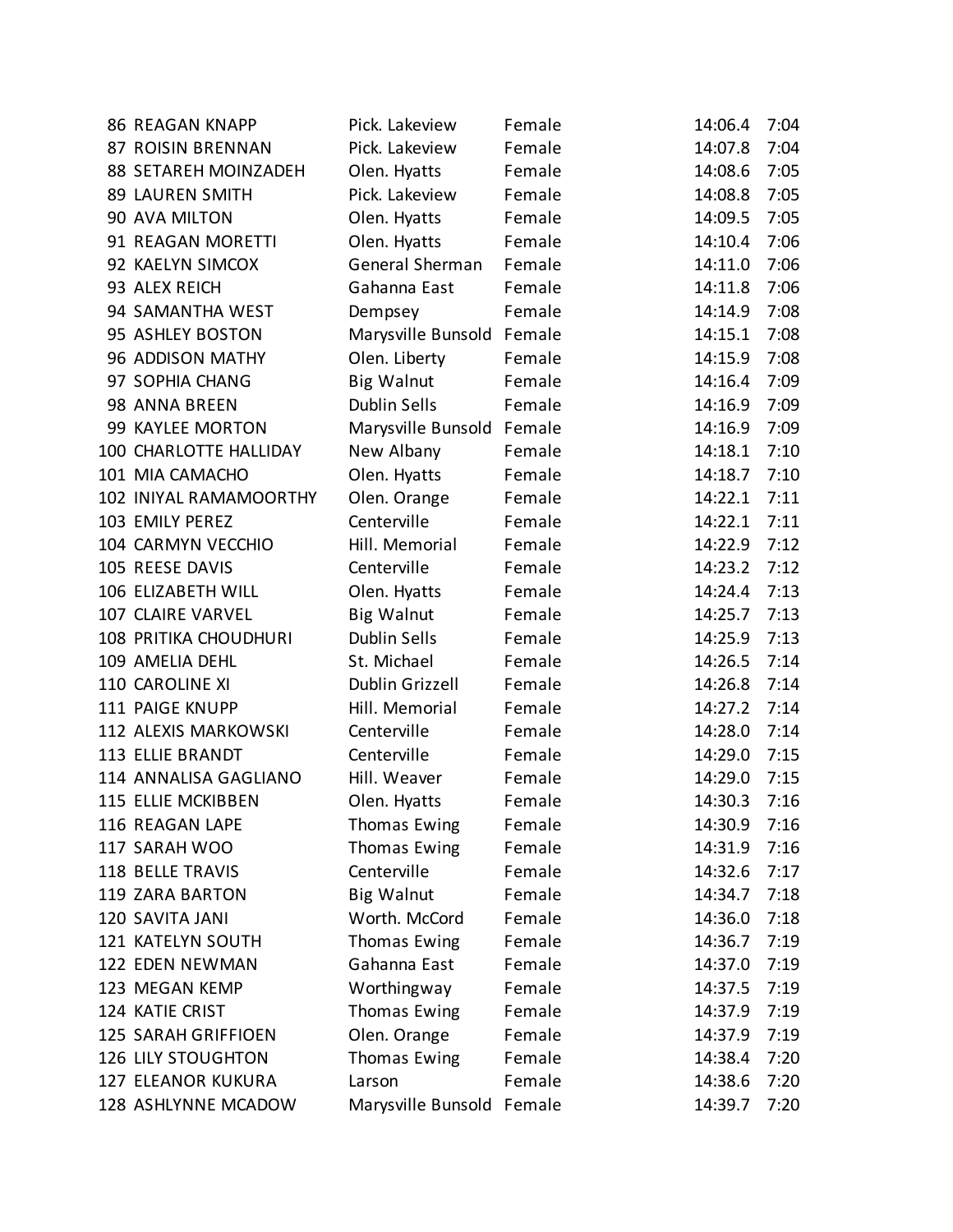| <b>86 REAGAN KNAPP</b>    | Pick. Lakeview            | Female | 14:06.4 | 7:04 |
|---------------------------|---------------------------|--------|---------|------|
| 87 ROISIN BRENNAN         | Pick. Lakeview            | Female | 14:07.8 | 7:04 |
| 88 SETAREH MOINZADEH      | Olen. Hyatts              | Female | 14:08.6 | 7:05 |
| <b>89 LAUREN SMITH</b>    | Pick. Lakeview            | Female | 14:08.8 | 7:05 |
| 90 AVA MILTON             | Olen. Hyatts              | Female | 14:09.5 | 7:05 |
| 91 REAGAN MORETTI         | Olen. Hyatts              | Female | 14:10.4 | 7:06 |
| 92 KAELYN SIMCOX          | General Sherman           | Female | 14:11.0 | 7:06 |
| 93 ALEX REICH             | Gahanna East              | Female | 14:11.8 | 7:06 |
| 94 SAMANTHA WEST          | Dempsey                   | Female | 14:14.9 | 7:08 |
| 95 ASHLEY BOSTON          | Marysville Bunsold Female |        | 14:15.1 | 7:08 |
| 96 ADDISON MATHY          | Olen. Liberty             | Female | 14:15.9 | 7:08 |
| 97 SOPHIA CHANG           | <b>Big Walnut</b>         | Female | 14:16.4 | 7:09 |
| 98 ANNA BREEN             | <b>Dublin Sells</b>       | Female | 14:16.9 | 7:09 |
| 99 KAYLEE MORTON          | Marysville Bunsold Female |        | 14:16.9 | 7:09 |
| 100 CHARLOTTE HALLIDAY    | New Albany                | Female | 14:18.1 | 7:10 |
| 101 MIA CAMACHO           | Olen. Hyatts              | Female | 14:18.7 | 7:10 |
| 102 INIYAL RAMAMOORTHY    | Olen. Orange              | Female | 14:22.1 | 7:11 |
| 103 EMILY PEREZ           | Centerville               | Female | 14:22.1 | 7:11 |
| 104 CARMYN VECCHIO        | Hill. Memorial            | Female | 14:22.9 | 7:12 |
| 105 REESE DAVIS           | Centerville               | Female | 14:23.2 | 7:12 |
| 106 ELIZABETH WILL        | Olen. Hyatts              | Female | 14:24.4 | 7:13 |
| 107 CLAIRE VARVEL         | <b>Big Walnut</b>         | Female | 14:25.7 | 7:13 |
| 108 PRITIKA CHOUDHURI     | <b>Dublin Sells</b>       | Female | 14:25.9 | 7:13 |
| 109 AMELIA DEHL           | St. Michael               | Female | 14:26.5 | 7:14 |
| 110 CAROLINE XI           | Dublin Grizzell           | Female | 14:26.8 | 7:14 |
| 111 PAIGE KNUPP           | Hill. Memorial            | Female | 14:27.2 | 7:14 |
| 112 ALEXIS MARKOWSKI      | Centerville               | Female | 14:28.0 | 7:14 |
| 113 ELLIE BRANDT          | Centerville               | Female | 14:29.0 | 7:15 |
| 114 ANNALISA GAGLIANO     | Hill. Weaver              | Female | 14:29.0 | 7:15 |
| 115 ELLIE MCKIBBEN        | Olen. Hyatts              | Female | 14:30.3 | 7:16 |
| 116 REAGAN LAPE           | <b>Thomas Ewing</b>       | Female | 14:30.9 | 7:16 |
| 117 SARAH WOO             | Thomas Ewing              | Female | 14:31.9 | 7:16 |
| 118 BELLE TRAVIS          | Centerville               | Female | 14:32.6 | 7:17 |
| 119 ZARA BARTON           | <b>Big Walnut</b>         | Female | 14:34.7 | 7:18 |
| 120 SAVITA JANI           | Worth. McCord             | Female | 14:36.0 | 7:18 |
| 121 KATELYN SOUTH         | Thomas Ewing              | Female | 14:36.7 | 7:19 |
| 122 EDEN NEWMAN           | Gahanna East              | Female | 14:37.0 | 7:19 |
| 123 MEGAN KEMP            | Worthingway               | Female | 14:37.5 | 7:19 |
| 124 KATIE CRIST           | Thomas Ewing              | Female | 14:37.9 | 7:19 |
| 125 SARAH GRIFFIOEN       | Olen. Orange              | Female | 14:37.9 | 7:19 |
| <b>126 LILY STOUGHTON</b> | Thomas Ewing              | Female | 14:38.4 | 7:20 |
| 127 ELEANOR KUKURA        | Larson                    | Female | 14:38.6 | 7:20 |
| 128 ASHLYNNE MCADOW       | Marysville Bunsold Female |        | 14:39.7 | 7:20 |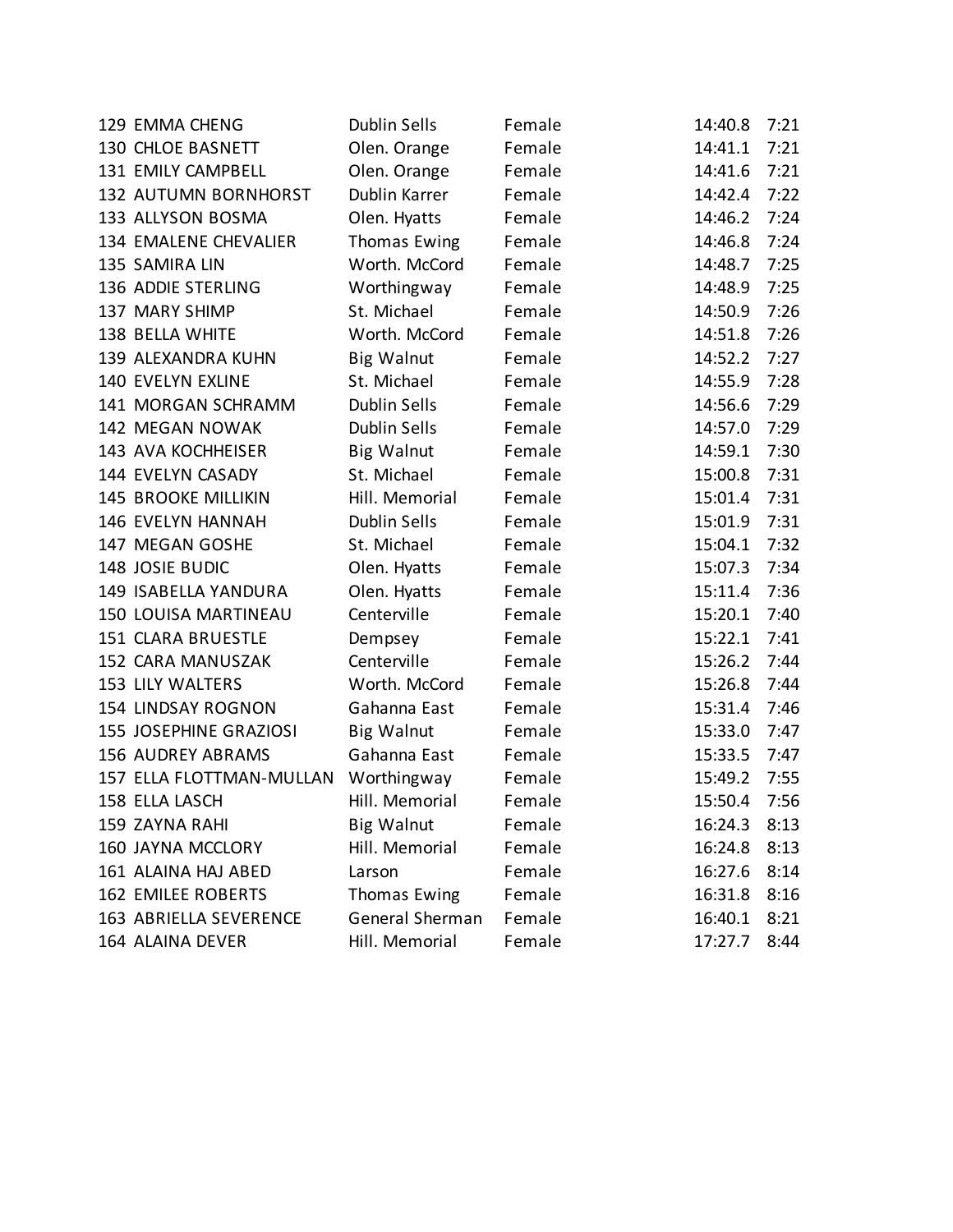| 129 EMMA CHENG             | <b>Dublin Sells</b> | Female | 14:40.8 | 7:21 |
|----------------------------|---------------------|--------|---------|------|
| 130 CHLOE BASNETT          | Olen. Orange        | Female | 14:41.1 | 7:21 |
| 131 EMILY CAMPBELL         | Olen. Orange        | Female | 14:41.6 | 7:21 |
| 132 AUTUMN BORNHORST       | Dublin Karrer       | Female | 14:42.4 | 7:22 |
| 133 ALLYSON BOSMA          | Olen. Hyatts        | Female | 14:46.2 | 7:24 |
| 134 EMALENE CHEVALIER      | Thomas Ewing        | Female | 14:46.8 | 7:24 |
| 135 SAMIRA LIN             | Worth. McCord       | Female | 14:48.7 | 7:25 |
| 136 ADDIE STERLING         | Worthingway         | Female | 14:48.9 | 7:25 |
| 137 MARY SHIMP             | St. Michael         | Female | 14:50.9 | 7:26 |
| 138 BELLA WHITE            | Worth. McCord       | Female | 14:51.8 | 7:26 |
| 139 ALEXANDRA KUHN         | <b>Big Walnut</b>   | Female | 14:52.2 | 7:27 |
| 140 EVELYN EXLINE          | St. Michael         | Female | 14:55.9 | 7:28 |
| 141 MORGAN SCHRAMM         | <b>Dublin Sells</b> | Female | 14:56.6 | 7:29 |
| 142 MEGAN NOWAK            | <b>Dublin Sells</b> | Female | 14:57.0 | 7:29 |
| 143 AVA KOCHHEISER         | <b>Big Walnut</b>   | Female | 14:59.1 | 7:30 |
| 144 EVELYN CASADY          | St. Michael         | Female | 15:00.8 | 7:31 |
| <b>145 BROOKE MILLIKIN</b> | Hill. Memorial      | Female | 15:01.4 | 7:31 |
| 146 EVELYN HANNAH          | Dublin Sells        | Female | 15:01.9 | 7:31 |
| 147 MEGAN GOSHE            | St. Michael         | Female | 15:04.1 | 7:32 |
| 148 JOSIE BUDIC            | Olen. Hyatts        | Female | 15:07.3 | 7:34 |
| 149 ISABELLA YANDURA       | Olen. Hyatts        | Female | 15:11.4 | 7:36 |
| 150 LOUISA MARTINEAU       | Centerville         | Female | 15:20.1 | 7:40 |
| 151 CLARA BRUESTLE         | Dempsey             | Female | 15:22.1 | 7:41 |
| 152 CARA MANUSZAK          | Centerville         | Female | 15:26.2 | 7:44 |
| <b>153 LILY WALTERS</b>    | Worth. McCord       | Female | 15:26.8 | 7:44 |
| 154 LINDSAY ROGNON         | Gahanna East        | Female | 15:31.4 | 7:46 |
| 155 JOSEPHINE GRAZIOSI     | <b>Big Walnut</b>   | Female | 15:33.0 | 7:47 |
| <b>156 AUDREY ABRAMS</b>   | Gahanna East        | Female | 15:33.5 | 7:47 |
| 157 ELLA FLOTTMAN-MULLAN   | Worthingway         | Female | 15:49.2 | 7:55 |
| 158 ELLA LASCH             | Hill. Memorial      | Female | 15:50.4 | 7:56 |
| 159 ZAYNA RAHI             | <b>Big Walnut</b>   | Female | 16:24.3 | 8:13 |
| 160 JAYNA MCCLORY          | Hill. Memorial      | Female | 16:24.8 | 8:13 |
| 161 ALAINA HAJ ABED        | Larson              | Female | 16:27.6 | 8:14 |
| <b>162 EMILEE ROBERTS</b>  | <b>Thomas Ewing</b> | Female | 16:31.8 | 8:16 |
| 163 ABRIELLA SEVERENCE     | General Sherman     | Female | 16:40.1 | 8:21 |
| 164 ALAINA DEVER           | Hill. Memorial      | Female | 17:27.7 | 8:44 |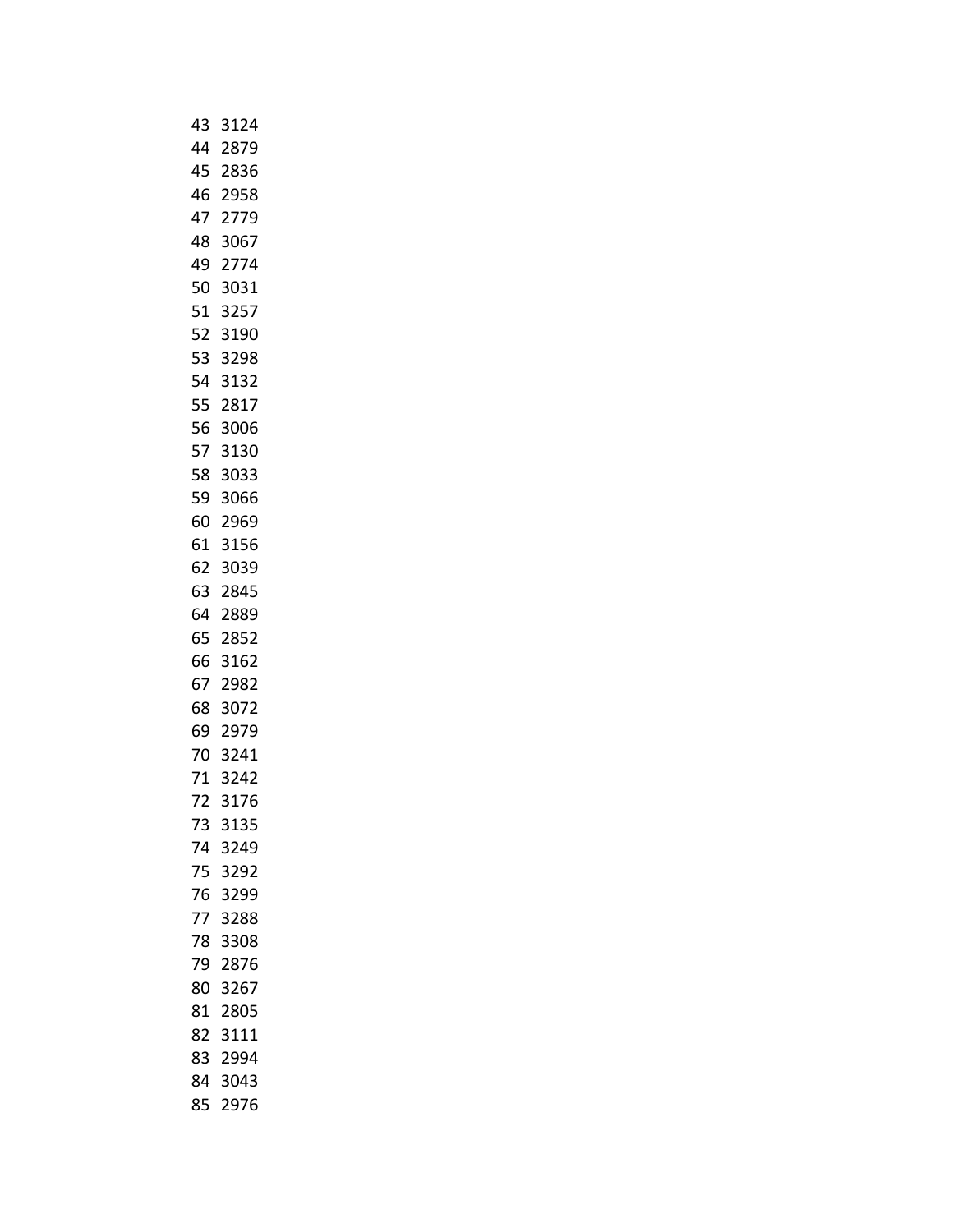|    | 43 3124 |      |  |
|----|---------|------|--|
|    | 44 2879 |      |  |
| 45 |         | 2836 |  |
|    | 46 2958 |      |  |
| 47 |         | 2779 |  |
|    | 48 3067 |      |  |
|    | 49 2774 |      |  |
|    | 50 3031 |      |  |
|    | 51 3257 |      |  |
|    | 52 3190 |      |  |
| 53 |         | 3298 |  |
|    | 54 3132 |      |  |
|    | 55 2817 |      |  |
|    | 56 3006 |      |  |
|    | 57 3130 |      |  |
|    | 58 3033 |      |  |
|    | 59 3066 |      |  |
|    | 60 2969 |      |  |
|    | 61 3156 |      |  |
|    | 62 3039 |      |  |
|    | 63 2845 |      |  |
|    | 64 2889 |      |  |
|    | 65 2852 |      |  |
|    | 66 3162 |      |  |
| 67 |         | 2982 |  |
|    | 68 3072 |      |  |
|    | 69 2979 |      |  |
|    | 70 3241 |      |  |
|    | 71 3242 |      |  |
| 72 |         | 3176 |  |
| 73 |         | 3135 |  |
|    | 74 3249 |      |  |
| 75 |         | 3292 |  |
|    | 76 3299 |      |  |
| 77 |         | 3288 |  |
|    | 78 3308 |      |  |
| 79 |         | 2876 |  |
|    | 80 3267 |      |  |
| 81 |         | 2805 |  |
|    | 82 3111 |      |  |
| 83 |         | 2994 |  |
|    | 84 3043 |      |  |
| 85 |         | 2976 |  |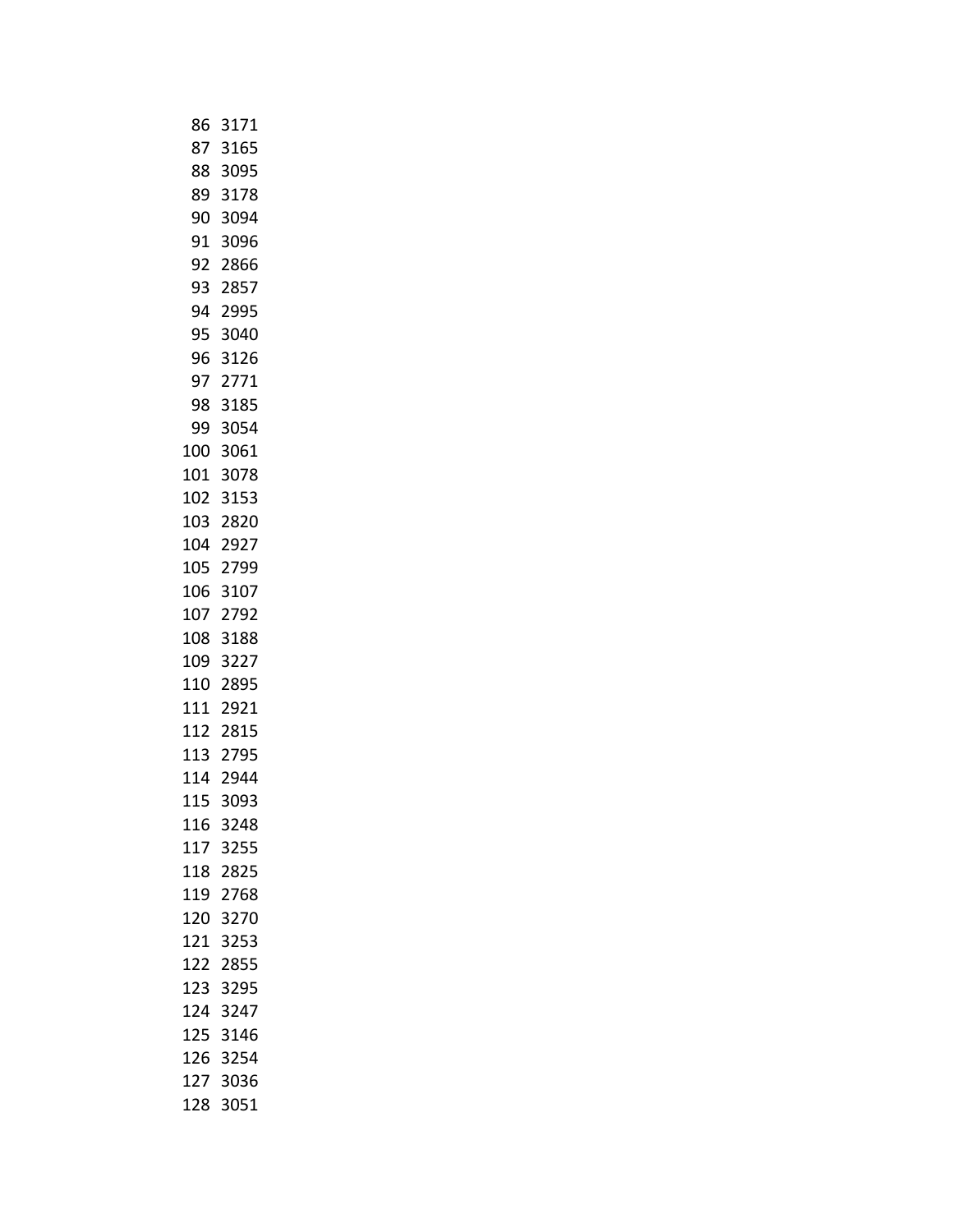|     | 86 3171  |
|-----|----------|
| 87  | 3165     |
| 88  | 3095     |
| 89  | 3178     |
|     | 90 3094  |
| 91  | 3096     |
|     | 92 2866  |
|     | 93 2857  |
|     | 94 2995  |
| 95  | 3040     |
| 96  | 3126     |
|     | 97 2771  |
|     | 98 3185  |
|     | 99 3054  |
|     | 100 3061 |
|     | 101 3078 |
|     | 102 3153 |
|     | 103 2820 |
|     | 104 2927 |
|     | 105 2799 |
|     | 106 3107 |
| 107 | 2792     |
|     | 108 3188 |
|     | 109 3227 |
|     | 110 2895 |
|     | 111 2921 |
|     | 112 2815 |
|     | 113 2795 |
|     | 114 2944 |
| 115 | 3093     |
| 116 | 3248     |
| 117 | 3255     |
| 118 | 2825     |
| 119 | 2768     |
| 120 | 3270     |
| 121 | 3253     |
| 122 | 2855     |
| 123 | 3295     |
| 124 | 3247     |
| 125 | 3146     |
| 126 | 3254     |
| 127 | 3036     |
| 128 | 3051     |